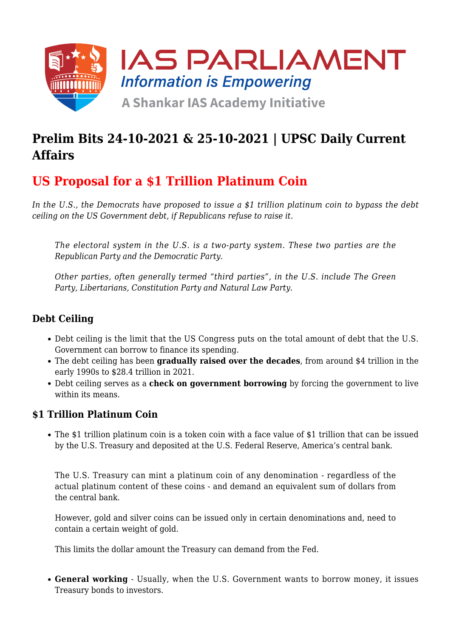

## **Prelim Bits 24-10-2021 & 25-10-2021 | UPSC Daily Current Affairs**

## **US Proposal for a \$1 Trillion Platinum Coin**

*In the U.S., the Democrats have proposed to issue a \$1 trillion platinum coin to bypass the debt ceiling on the US Government debt, if Republicans refuse to raise it.*

*The electoral system in the U.S. is a two-party system. These two parties are the Republican Party and the Democratic Party.*

*Other parties, often generally termed "third parties", in the U.S. include The Green Party, Libertarians, Constitution Party and Natural Law Party.*

### **Debt Ceiling**

- Debt ceiling is the limit that the US Congress puts on the total amount of debt that the U.S. Government can borrow to finance its spending.
- The debt ceiling has been **gradually raised over the decades**, from around \$4 trillion in the early 1990s to \$28.4 trillion in 2021.
- Debt ceiling serves as a **check on government borrowing** by forcing the government to live within its means.

#### **\$1 Trillion Platinum Coin**

The \$1 trillion platinum coin is a token coin with a face value of \$1 trillion that can be issued by the U.S. Treasury and deposited at the U.S. Federal Reserve, America's central bank.

The U.S. Treasury can mint a platinum coin of any denomination - regardless of the actual platinum content of these coins - and demand an equivalent sum of dollars from the central bank.

However, gold and silver coins can be issued only in certain denominations and, need to contain a certain weight of gold.

This limits the dollar amount the Treasury can demand from the Fed.

**General working** - Usually, when the U.S. Government wants to borrow money, it issues Treasury bonds to investors.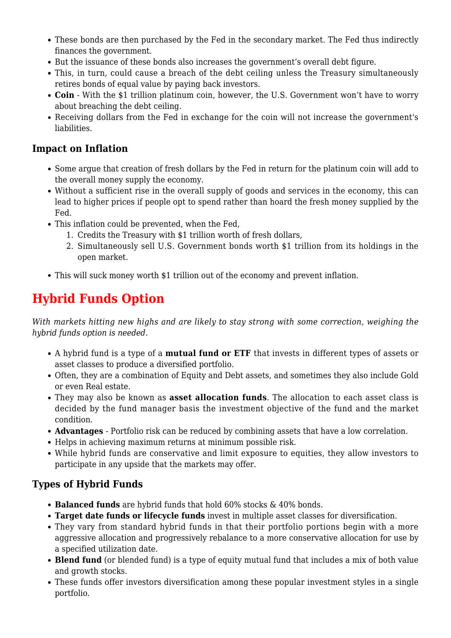- These bonds are then purchased by the Fed in the secondary market. The Fed thus indirectly finances the government.
- But the issuance of these bonds also increases the government's overall debt figure.
- This, in turn, could cause a breach of the debt ceiling unless the Treasury simultaneously retires bonds of equal value by paying back investors.
- **Coin** With the \$1 trillion platinum coin, however, the U.S. Government won't have to worry about breaching the debt ceiling.
- Receiving dollars from the Fed in exchange for the coin will not increase the government's liabilities.

#### **Impact on Inflation**

- Some argue that creation of fresh dollars by the Fed in return for the platinum coin will add to the overall money supply the economy.
- Without a sufficient rise in the overall supply of goods and services in the economy, this can lead to higher prices if people opt to spend rather than hoard the fresh money supplied by the Fed.
- This inflation could be prevented, when the Fed,
	- 1. Credits the Treasury with \$1 trillion worth of fresh dollars,
	- 2. Simultaneously sell U.S. Government bonds worth \$1 trillion from its holdings in the open market.
- This will suck money worth \$1 trillion out of the economy and prevent inflation.

# **Hybrid Funds Option**

*With markets hitting new highs and are likely to stay strong with some correction, weighing the hybrid funds option is needed.*

- A hybrid fund is a type of a **mutual fund or ETF** that invests in different types of assets or asset classes to produce a diversified portfolio.
- Often, they are a combination of Equity and Debt assets, and sometimes they also include Gold or even Real estate.
- They may also be known as **asset allocation funds**. The allocation to each asset class is decided by the fund manager basis the investment objective of the fund and the market condition.
- **Advantages**  Portfolio risk can be reduced by combining assets that have a low correlation.
- Helps in achieving maximum returns at minimum possible risk.
- While hybrid funds are conservative and limit exposure to equities, they allow investors to participate in any upside that the markets may offer.

## **Types of Hybrid Funds**

- **Balanced funds** are hybrid funds that hold 60% stocks & 40% bonds.
- **Target date funds or lifecycle funds** invest in multiple asset classes for diversification.
- They vary from standard hybrid funds in that their portfolio portions begin with a more aggressive allocation and progressively rebalance to a more conservative allocation for use by a specified utilization date.
- **Blend fund** (or blended fund) is a type of equity mutual fund that includes a mix of both value and growth stocks.
- These funds offer investors diversification among these popular investment styles in a single portfolio.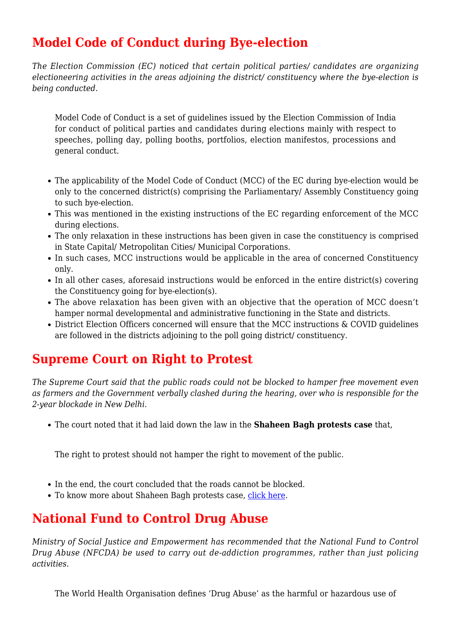## **Model Code of Conduct during Bye-election**

*The Election Commission (EC) noticed that certain political parties/ candidates are organizing electioneering activities in the areas adjoining the district/ constituency where the bye-election is being conducted.*

Model Code of Conduct is a set of guidelines issued by the Election Commission of India for conduct of political parties and candidates during elections mainly with respect to speeches, polling day, polling booths, portfolios, election manifestos, processions and general conduct.

- The applicability of the Model Code of Conduct (MCC) of the EC during bye-election would be only to the concerned district(s) comprising the Parliamentary/ Assembly Constituency going to such bye-election.
- This was mentioned in the existing instructions of the EC regarding enforcement of the MCC during elections.
- The only relaxation in these instructions has been given in case the constituency is comprised in State Capital/ Metropolitan Cities/ Municipal Corporations.
- In such cases, MCC instructions would be applicable in the area of concerned Constituency only.
- In all other cases, aforesaid instructions would be enforced in the entire district(s) covering the Constituency going for bye-election(s).
- The above relaxation has been given with an objective that the operation of MCC doesn't hamper normal developmental and administrative functioning in the State and districts.
- District Election Officers concerned will ensure that the MCC instructions & COVID guidelines are followed in the districts adjoining to the poll going district/ constituency.

## **Supreme Court on Right to Protest**

*The Supreme Court said that the public roads could not be blocked to hamper free movement even as farmers and the Government verbally clashed during the hearing, over who is responsible for the 2-year blockade in New Delhi.*

The court noted that it had laid down the law in the **Shaheen Bagh protests case** that,

The right to protest should not hamper the right to movement of the public.

- In the end, the court concluded that the roads cannot be blocked.
- To know more about Shaheen Bagh protests case, [click here.](https://www.iasparliament.com/current-affairs/shaheen-bagh-protest)

## **National Fund to Control Drug Abuse**

*Ministry of Social Justice and Empowerment has recommended that the National Fund to Control Drug Abuse (NFCDA) be used to carry out de-addiction programmes, rather than just policing activities.*

The World Health Organisation defines 'Drug Abuse' as the harmful or hazardous use of